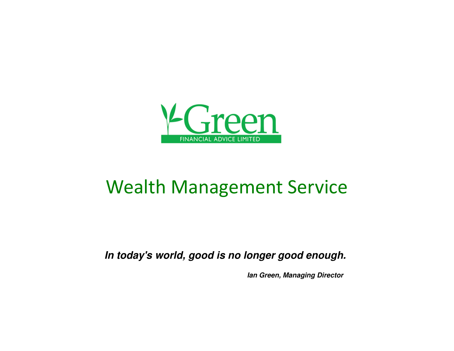

# Wealth Management Service

**In today's world, good is no longer good enough.** 

**Ian Green, Managing Director**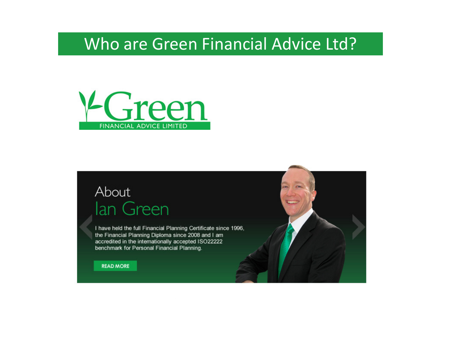# Who are Green Financial Advice Ltd?



## About lan Green

I have held the full Financial Planning Certificate since 1996, the Financial Planning Diploma since 2008 and I am accredited in the internationally accepted ISO22222 benchmark for Personal Financial Planning.

**READ MORE** 

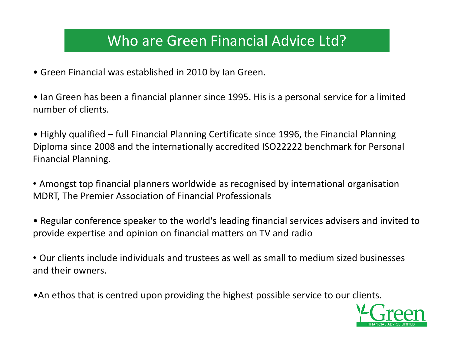### Who are Green Financial Advice Ltd?

- Green Financial was established in 2010 by Ian Green.
- Ian Green has been a financial planner since 1995. His is a personal service for a limited number of clients.
- Highly qualified full Financial Planning Certificate since 1996, the Financial Planning Diploma since 2008 and the internationally accredited ISO22222 benchmark for Personal Financial Planning.
- Amongst top financial planners worldwide as recognised by international organisation MDRT, The Premier Association of Financial Professionals
- Regular conference speaker to the world's leading financial services advisers and invited to provide expertise and opinion on financial matters on TV and radio
- Our clients include individuals and trustees as well as small to medium sized businesses and their owners.
- •An ethos that is centred upon providing the highest possible service to our clients.

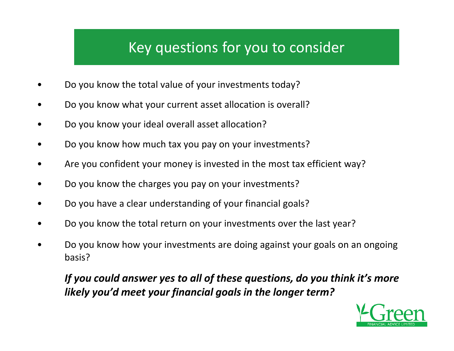## Key questions for you to consider

- •Do you know the total value of your investments today?
- •Do you know what your current asset allocation is overall?
- •Do you know your ideal overall asset allocation?
- $\bullet$ Do you know how much tax you pay on your investments?
- •Are you confident your money is invested in the most tax efficient way?
- •Do you know the charges you pay on your investments?
- •Do you have a clear understanding of your financial goals?
- •Do you know the total return on your investments over the last year?
- • Do you know how your investments are doing against your goals on an ongoing basis?

### *If you could answer yes to all of these questions, do you think it's more likely you'd meet your financial goals in the longer term?*

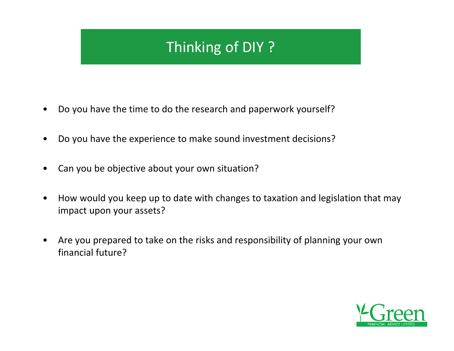# Thinking of DIY ?

- $\bullet$ Do you have the time to do the research and paperwork yourself?
- $\bullet$ Do you have the experience to make sound investment decisions?
- •Can you be objective about your own situation?
- • How would you keep up to date with changes to taxation and legislation that may impact upon your assets?
- $\bullet$  Are you prepared to take on the risks and responsibility of planning your own financial future?

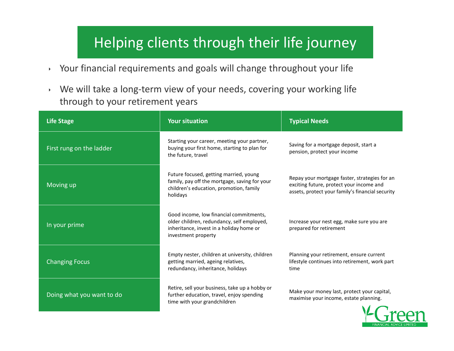### Helping clients through their life journey

- $\mathbf{F}^{\dagger}$ Your financial requirements and goals will change throughout your life
- $\blacktriangleright$  We will take a long-term view of your needs, covering your working life through to your retirement years

| <b>Life Stage</b>         | <b>Your situation</b>                                                                                                                                    | <b>Typical Needs</b>                                                                                                                          |
|---------------------------|----------------------------------------------------------------------------------------------------------------------------------------------------------|-----------------------------------------------------------------------------------------------------------------------------------------------|
| First rung on the ladder  | Starting your career, meeting your partner,<br>buying your first home, starting to plan for<br>the future, travel                                        | Saving for a mortgage deposit, start a<br>pension, protect your income                                                                        |
| Moving up                 | Future focused, getting married, young<br>family, pay off the mortgage, saving for your<br>children's education, promotion, family<br>holidays           | Repay your mortgage faster, strategies for an<br>exciting future, protect your income and<br>assets, protect your family's financial security |
| In your prime             | Good income, low financial commitments,<br>older children, redundancy, self employed,<br>inheritance, invest in a holiday home or<br>investment property | Increase your nest egg, make sure you are<br>prepared for retirement                                                                          |
| <b>Changing Focus</b>     | Empty nester, children at university, children<br>getting married, ageing relatives,<br>redundancy, inheritance, holidays                                | Planning your retirement, ensure current<br>lifestyle continues into retirement, work part<br>time                                            |
| Doing what you want to do | Retire, sell your business, take up a hobby or<br>further education, travel, enjoy spending<br>time with your grandchildren                              | Make your money last, protect your capital,<br>maximise your income, estate planning.                                                         |

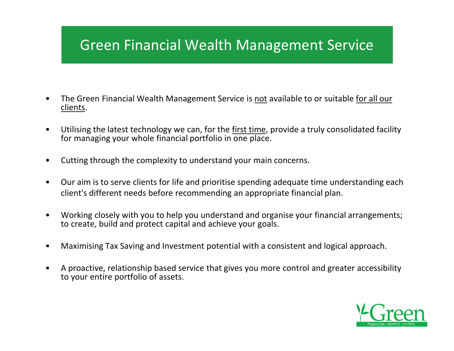### Green Financial Wealth Management Service

- • The Green Financial Wealth Management Service is not available to or suitable for all our clients.
- • Utilising the latest technology we can, for the first time, provide a truly consolidated facility for managing your whole financial portfolio in one place.
- •Cutting through the complexity to understand your main concerns.
- $\bullet$  Our aim is to serve clients for life and prioritise spending adequate time understanding each client's different needs before recommending an appropriate financial plan.
- • Working closely with you to help you understand and organise your financial arrangements; to create, build and protect capital and achieve your goals.
- •Maximising Tax Saving and Investment potential with a consistent and logical approach.
- • A proactive, relationship based service that gives you more control and greater accessibility to your entire portfolio of assets.

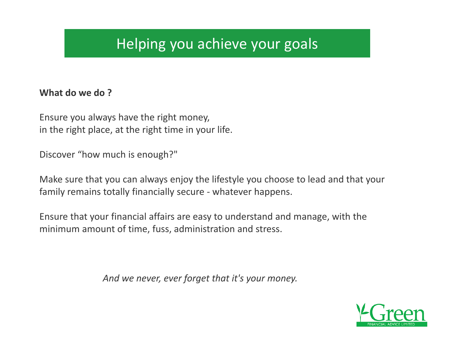### Helping you achieve your goals

#### **What do we do ?**

Ensure you always have the right money,in the right place, at the right time in your life.

Discover "how much is enough?"

Make sure that you can always enjoy the lifestyle you choose to lead and that your family remains totally financially secure - whatever happens.

Ensure that your financial affairs are easy to understand and manage, with the minimum amount of time, fuss, administration and stress.

*And we never, ever forget that it's your money.*

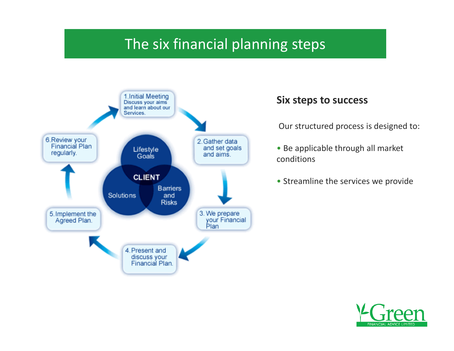### The six financial planning steps



#### **Six steps to success**

Our structured process is designed to:

- Be applicable through all market conditions
- Streamline the services we provide

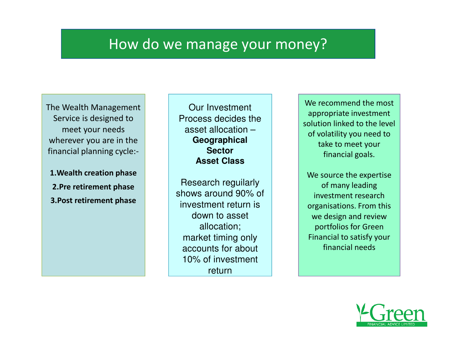### How do we manage your money?

The Wealth Management Service is designed to meet your needs wherever you are in the financial planning cycle:-

**1.Wealth creation phase2.Pre retirement phase3.Post retirement phase**

Our Investment Process decides the asset allocation –**GeographicalSectorAsset Class**

Research reguilarly shows around 90% of investment return is down to asset allocation;market timing only accounts for about 10% of investment return

We recommend the most appropriate investment solution linked to the level of volatility you need to take to meet your financial goals.

We source the expertise of many leading investment research organisations. From this we design and review portfolios for Green Financial to satisfy your financial needs

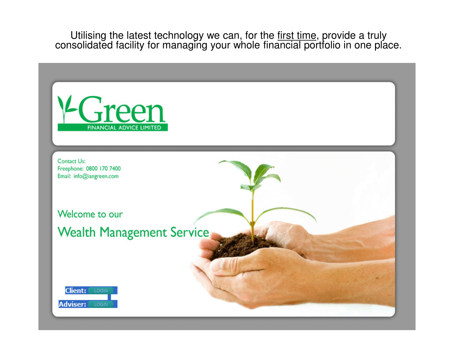Utilising the latest technology we can, for the first time, provide a truly consolidated facility for managing your whole financial portfolio in one place.

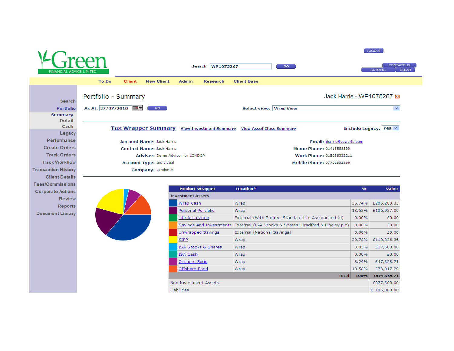

Wrap

Wrap

8.24%

13.58%

100%

**Total** 

£47,328.71

£78,017.29 £574,389.71

£377,500.00

£-185,000.00

Onshore Bond

Offshore Bond

Non Investment Assets

Liabilities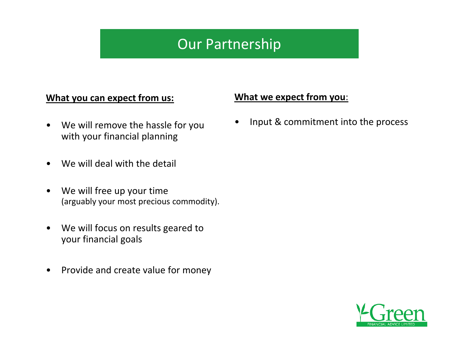### Our Partnership

#### **What you can expect from us:**

- $\bullet$  We will remove the hassle for you with your financial planning
- •We will deal with the detail
- $\bullet$  We will free up your time (arguably your most precious commodity).
- $\bullet$  We will focus on results geared to your financial goals
- $\bullet$ Provide and create value for money

#### **What we expect from you**:

•Input & commitment into the process

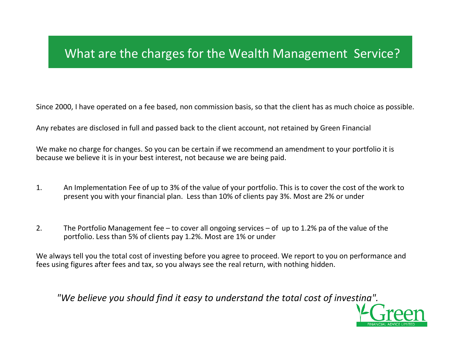### What are the charges for the Wealth Management Service?

Since 2000, I have operated on a fee based, non commission basis, so that the client has as much choice as possible.

Any rebates are disclosed in full and passed back to the client account, not retained by Green Financial

We make no charge for changes. So you can be certain if we recommend an amendment to your portfolio it is because we believe it is in your best interest, not because we are being paid.

- 1. An Implementation Fee of up to 3% of the value of your portfolio. This is to cover the cost of the work to present you with your financial plan. Less than 10% of clients pay 3%. Most are 2% or under
- 2. The Portfolio Management fee to cover all ongoing services of up to 1.2% pa of the value of the portfolio. Less than 5% of clients pay 1.2%. Most are 1% or under

We always tell you the total cost of investing before you agree to proceed. We report to you on performance and fees using figures after fees and tax, so you always see the real return, with nothing hidden.

*"We believe you should find it easy to understand the total cost of investing".*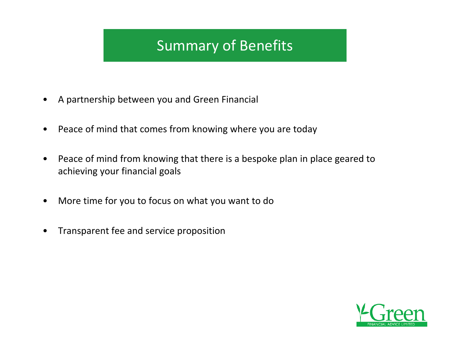### Summary of Benefits

- $\bullet$ A partnership between you and Green Financial
- $\bullet$ Peace of mind that comes from knowing where you are today
- $\bullet$  Peace of mind from knowing that there is a bespoke plan in place geared to achieving your financial goals
- $\bullet$ More time for you to focus on what you want to do
- •Transparent fee and service proposition

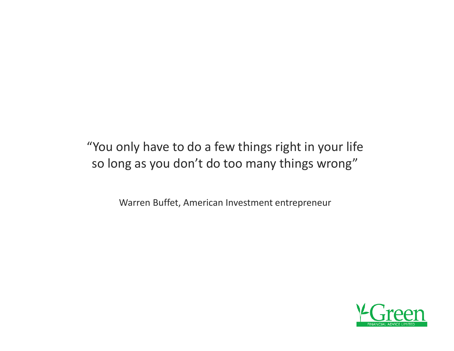"You only have to do a few things right in your life so long as you don't do too many things wrong"

Warren Buffet, American Investment entrepreneur